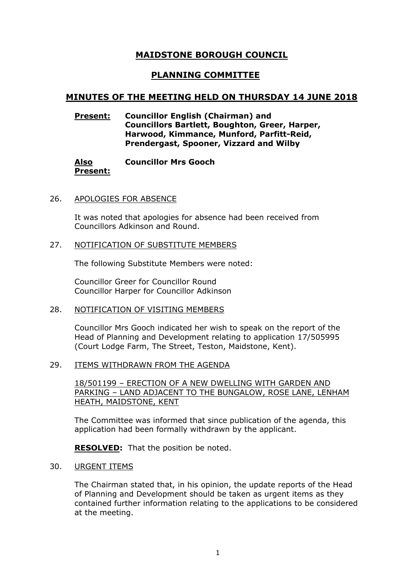# **MAIDSTONE BOROUGH COUNCIL**

# **PLANNING COMMITTEE**

# **MINUTES OF THE MEETING HELD ON THURSDAY 14 JUNE 2018**

## **Present: Councillor English (Chairman) and Councillors Bartlett, Boughton, Greer, Harper, Harwood, Kimmance, Munford, Parfitt-Reid, Prendergast, Spooner, Vizzard and Wilby**

#### **Also Present: Councillor Mrs Gooch**

## 26. APOLOGIES FOR ABSENCE

It was noted that apologies for absence had been received from Councillors Adkinson and Round.

#### 27. NOTIFICATION OF SUBSTITUTE MEMBERS

The following Substitute Members were noted:

Councillor Greer for Councillor Round Councillor Harper for Councillor Adkinson

## 28. NOTIFICATION OF VISITING MEMBERS

Councillor Mrs Gooch indicated her wish to speak on the report of the Head of Planning and Development relating to application 17/505995 (Court Lodge Farm, The Street, Teston, Maidstone, Kent).

#### 29. ITEMS WITHDRAWN FROM THE AGENDA

## 18/501199 – ERECTION OF A NEW DWELLING WITH GARDEN AND PARKING – LAND ADJACENT TO THE BUNGALOW, ROSE LANE, LENHAM HEATH, MAIDSTONE, KENT

The Committee was informed that since publication of the agenda, this application had been formally withdrawn by the applicant.

**RESOLVED:** That the position be noted.

#### 30. URGENT ITEMS

The Chairman stated that, in his opinion, the update reports of the Head of Planning and Development should be taken as urgent items as they contained further information relating to the applications to be considered at the meeting.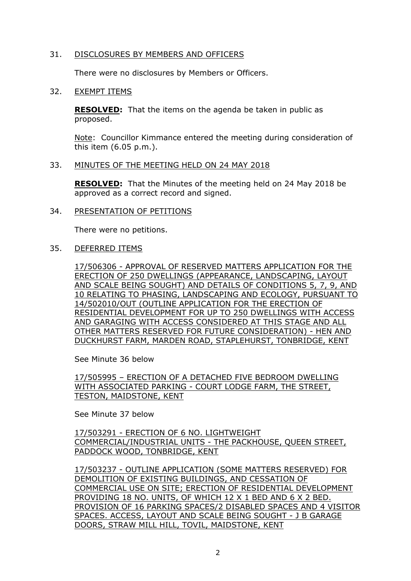## 31. DISCLOSURES BY MEMBERS AND OFFICERS

There were no disclosures by Members or Officers.

### 32. EXEMPT ITEMS

**RESOLVED:** That the items on the agenda be taken in public as proposed.

Note: Councillor Kimmance entered the meeting during consideration of this item (6.05 p.m.).

#### 33. MINUTES OF THE MEETING HELD ON 24 MAY 2018

**RESOLVED:** That the Minutes of the meeting held on 24 May 2018 be approved as a correct record and signed.

34. PRESENTATION OF PETITIONS

There were no petitions.

#### 35. DEFERRED ITEMS

17/506306 - APPROVAL OF RESERVED MATTERS APPLICATION FOR THE ERECTION OF 250 DWELLINGS (APPEARANCE, LANDSCAPING, LAYOUT AND SCALE BEING SOUGHT) AND DETAILS OF CONDITIONS 5, 7, 9, AND 10 RELATING TO PHASING, LANDSCAPING AND ECOLOGY, PURSUANT TO 14/502010/OUT (OUTLINE APPLICATION FOR THE ERECTION OF RESIDENTIAL DEVELOPMENT FOR UP TO 250 DWELLINGS WITH ACCESS AND GARAGING WITH ACCESS CONSIDERED AT THIS STAGE AND ALL OTHER MATTERS RESERVED FOR FUTURE CONSIDERATION) - HEN AND DUCKHURST FARM, MARDEN ROAD, STAPLEHURST, TONBRIDGE, KENT

See Minute 36 below

17/505995 – ERECTION OF A DETACHED FIVE BEDROOM DWELLING WITH ASSOCIATED PARKING - COURT LODGE FARM, THE STREET, TESTON, MAIDSTONE, KENT

See Minute 37 below

17/503291 - ERECTION OF 6 NO. LIGHTWEIGHT COMMERCIAL/INDUSTRIAL UNITS - THE PACKHOUSE, QUEEN STREET, PADDOCK WOOD, TONBRIDGE, KENT

17/503237 - OUTLINE APPLICATION (SOME MATTERS RESERVED) FOR DEMOLITION OF EXISTING BUILDINGS, AND CESSATION OF COMMERCIAL USE ON SITE; ERECTION OF RESIDENTIAL DEVELOPMENT PROVIDING 18 NO. UNITS, OF WHICH 12 X 1 BED AND 6 X 2 BED. PROVISION OF 16 PARKING SPACES/2 DISABLED SPACES AND 4 VISITOR SPACES. ACCESS, LAYOUT AND SCALE BEING SOUGHT - J B GARAGE DOORS, STRAW MILL HILL, TOVIL, MAIDSTONE, KENT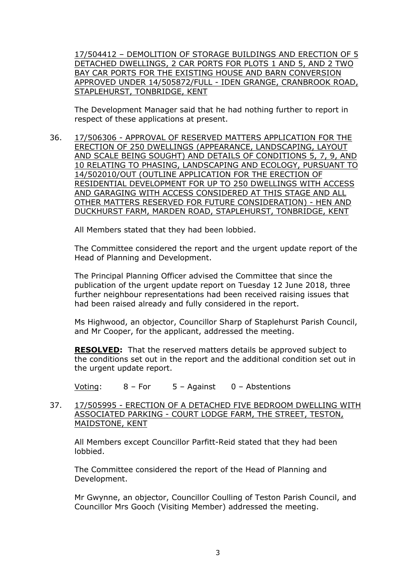17/504412 – DEMOLITION OF STORAGE BUILDINGS AND ERECTION OF 5 DETACHED DWELLINGS, 2 CAR PORTS FOR PLOTS 1 AND 5, AND 2 TWO BAY CAR PORTS FOR THE EXISTING HOUSE AND BARN CONVERSION APPROVED UNDER 14/505872/FULL - IDEN GRANGE, CRANBROOK ROAD, STAPLEHURST, TONBRIDGE, KENT

The Development Manager said that he had nothing further to report in respect of these applications at present.

36. 17/506306 - APPROVAL OF RESERVED MATTERS APPLICATION FOR THE ERECTION OF 250 DWELLINGS (APPEARANCE, LANDSCAPING, LAYOUT AND SCALE BEING SOUGHT) AND DETAILS OF CONDITIONS 5, 7, 9, AND 10 RELATING TO PHASING, LANDSCAPING AND ECOLOGY, PURSUANT TO 14/502010/OUT (OUTLINE APPLICATION FOR THE ERECTION OF RESIDENTIAL DEVELOPMENT FOR UP TO 250 DWELLINGS WITH ACCESS AND GARAGING WITH ACCESS CONSIDERED AT THIS STAGE AND ALL OTHER MATTERS RESERVED FOR FUTURE CONSIDERATION) - HEN AND DUCKHURST FARM, MARDEN ROAD, STAPLEHURST, TONBRIDGE, KENT

All Members stated that they had been lobbied.

The Committee considered the report and the urgent update report of the Head of Planning and Development.

The Principal Planning Officer advised the Committee that since the publication of the urgent update report on Tuesday 12 June 2018, three further neighbour representations had been received raising issues that had been raised already and fully considered in the report.

Ms Highwood, an objector, Councillor Sharp of Staplehurst Parish Council, and Mr Cooper, for the applicant, addressed the meeting.

**RESOLVED:** That the reserved matters details be approved subject to the conditions set out in the report and the additional condition set out in the urgent update report.

Voting: 8 – For 5 – Against 0 – Abstentions

## 37. 17/505995 - ERECTION OF A DETACHED FIVE BEDROOM DWELLING WITH ASSOCIATED PARKING - COURT LODGE FARM, THE STREET, TESTON, MAIDSTONE, KENT

All Members except Councillor Parfitt-Reid stated that they had been lobbied.

The Committee considered the report of the Head of Planning and Development.

Mr Gwynne, an objector, Councillor Coulling of Teston Parish Council, and Councillor Mrs Gooch (Visiting Member) addressed the meeting.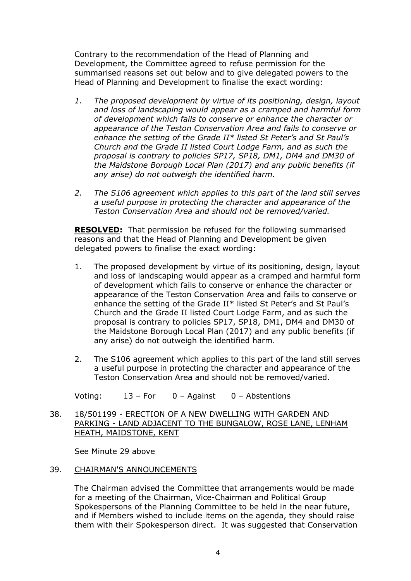Contrary to the recommendation of the Head of Planning and Development, the Committee agreed to refuse permission for the summarised reasons set out below and to give delegated powers to the Head of Planning and Development to finalise the exact wording:

- *1. The proposed development by virtue of its positioning, design, layout and loss of landscaping would appear as a cramped and harmful form of development which fails to conserve or enhance the character or appearance of the Teston Conservation Area and fails to conserve or enhance the setting of the Grade II\* listed St Peter's and St Paul's Church and the Grade II listed Court Lodge Farm, and as such the proposal is contrary to policies SP17, SP18, DM1, DM4 and DM30 of the Maidstone Borough Local Plan (2017) and any public benefits (if any arise) do not outweigh the identified harm.*
- *2. The S106 agreement which applies to this part of the land still serves a useful purpose in protecting the character and appearance of the Teston Conservation Area and should not be removed/varied.*

**RESOLVED:** That permission be refused for the following summarised reasons and that the Head of Planning and Development be given delegated powers to finalise the exact wording:

- 1. The proposed development by virtue of its positioning, design, layout and loss of landscaping would appear as a cramped and harmful form of development which fails to conserve or enhance the character or appearance of the Teston Conservation Area and fails to conserve or enhance the setting of the Grade II\* listed St Peter's and St Paul's Church and the Grade II listed Court Lodge Farm, and as such the proposal is contrary to policies SP17, SP18, DM1, DM4 and DM30 of the Maidstone Borough Local Plan (2017) and any public benefits (if any arise) do not outweigh the identified harm.
- 2. The S106 agreement which applies to this part of the land still serves a useful purpose in protecting the character and appearance of the Teston Conservation Area and should not be removed/varied.

Voting: 13 – For 0 – Against 0 – Abstentions

38. 18/501199 - ERECTION OF A NEW DWELLING WITH GARDEN AND PARKING - LAND ADJACENT TO THE BUNGALOW, ROSE LANE, LENHAM HEATH, MAIDSTONE, KENT

See Minute 29 above

## 39. CHAIRMAN'S ANNOUNCEMENTS

The Chairman advised the Committee that arrangements would be made for a meeting of the Chairman, Vice-Chairman and Political Group Spokespersons of the Planning Committee to be held in the near future, and if Members wished to include items on the agenda, they should raise them with their Spokesperson direct. It was suggested that Conservation